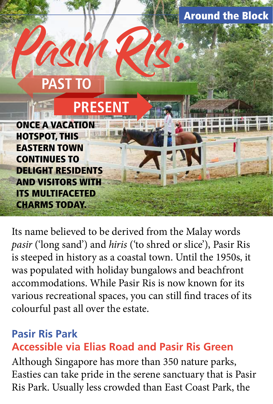



Its name believed to be derived from the Malay words *pasir* ('long sand') and *hiris* ('to shred or slice'), Pasir Ris is steeped in history as a coastal town. Until the 1950s, it was populated with holiday bungalows and beachfront accommodations. While Pasir Ris is now known for its various recreational spaces, you can still find traces of its colourful past all over the estate.

### **Pasir Ris Park Accessible via Elias Road and Pasir Ris Green**

Although Singapore has more than 350 nature parks, Easties can take pride in the serene sanctuary that is Pasir Ris Park. Usually less crowded than East Coast Park, the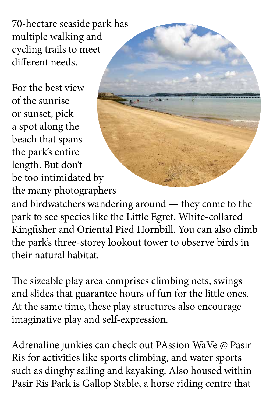70-hectare seaside park has multiple walking and cycling trails to meet different needs.

For the best view of the sunrise or sunset, pick a spot along the beach that spans the park's entire length. But don't be too intimidated by the many photographers



and birdwatchers wandering around — they come to the park to see species like the Little Egret, White-collared Kingfisher and Oriental Pied Hornbill. You can also climb the park's three-storey lookout tower to observe birds in their natural habitat.

The sizeable play area comprises climbing nets, swings and slides that guarantee hours of fun for the little ones. At the same time, these play structures also encourage imaginative play and self-expression.

Adrenaline junkies can check out PAssion WaVe @ Pasir Ris for activities like sports climbing, and water sports such as dinghy sailing and kayaking. Also housed within Pasir Ris Park is Gallop Stable, a horse riding centre that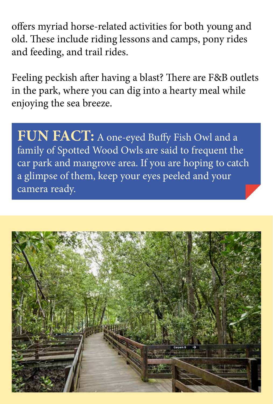offers myriad horse-related activities for both young and old. These include riding lessons and camps, pony rides and feeding, and trail rides.

Feeling peckish after having a blast? There are F&B outlets in the park, where you can dig into a hearty meal while enjoying the sea breeze.

**FUN FACT:** A one-eyed Buffy Fish Owl and a family of Spotted Wood Owls are said to frequent the car park and mangrove area. If you are hoping to catch a glimpse of them, keep your eyes peeled and your camera ready.

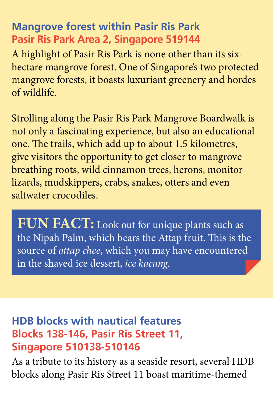# **Mangrove forest within Pasir Ris Park Pasir Ris Park Area 2, Singapore 519144**

A highlight of Pasir Ris Park is none other than its sixhectare mangrove forest. One of Singapore's two protected mangrove forests, it boasts luxuriant greenery and hordes of wildlife.

Strolling along the Pasir Ris Park Mangrove Boardwalk is not only a fascinating experience, but also an educational one. The trails, which add up to about 1.5 kilometres, give visitors the opportunity to get closer to mangrove breathing roots, wild cinnamon trees, herons, monitor lizards, mudskippers, crabs, snakes, otters and even saltwater crocodiles.

**FUN FACT:** Look out for unique plants such as the Nipah Palm, which bears the Attap fruit. This is the source of *attap chee*, which you may have encountered in the shaved ice dessert, *ice kacang*.

## **HDB blocks with nautical features Blocks 138-146, Pasir Ris Street 11, Singapore 510138-510146**

As a tribute to its history as a seaside resort, several HDB blocks along Pasir Ris Street 11 boast maritime-themed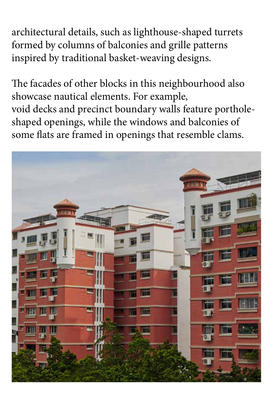architectural details, such as lighthouse-shaped turrets formed by columns of balconies and grille patterns inspired by traditional basket-weaving designs.

The facades of other blocks in this neighbourhood also showcase nautical elements. For example, void decks and precinct boundary walls feature portholeshaped openings, while the windows and balconies of some flats are framed in openings that resemble clams.

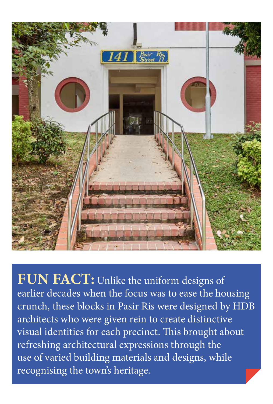

**FUN FACT:** Unlike the uniform designs of earlier decades when the focus was to ease the housing crunch, these blocks in Pasir Ris were designed by HDB architects who were given rein to create distinctive visual identities for each precinct. This brought about refreshing architectural expressions through the use of varied building materials and designs, while recognising the town's heritage.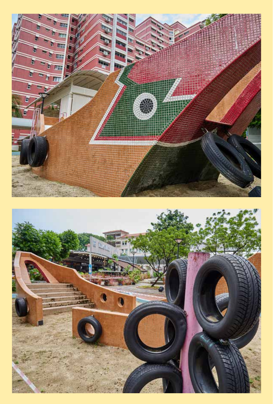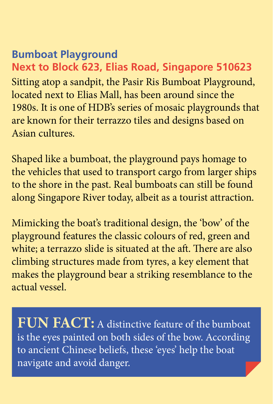### **Bumboat Playground Next to Block 623, Elias Road, Singapore 510623**

Sitting atop a sandpit, the Pasir Ris Bumboat Playground, located next to Elias Mall, has been around since the 1980s. It is one of HDB's series of mosaic playgrounds that are known for their terrazzo tiles and designs based on Asian cultures.

Shaped like a bumboat, the playground pays homage to the vehicles that used to transport cargo from larger ships to the shore in the past. Real bumboats can still be found along Singapore River today, albeit as a tourist attraction.

Mimicking the boat's traditional design, the 'bow' of the playground features the classic colours of red, green and white; a terrazzo slide is situated at the aft. There are also climbing structures made from tyres, a key element that makes the playground bear a striking resemblance to the actual vessel.

**FUN FACT:** A distinctive feature of the bumboat is the eyes painted on both sides of the bow. According to ancient Chinese beliefs, these 'eyes' help the boat navigate and avoid danger.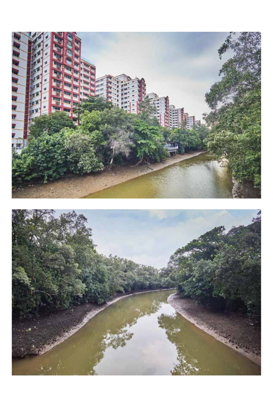